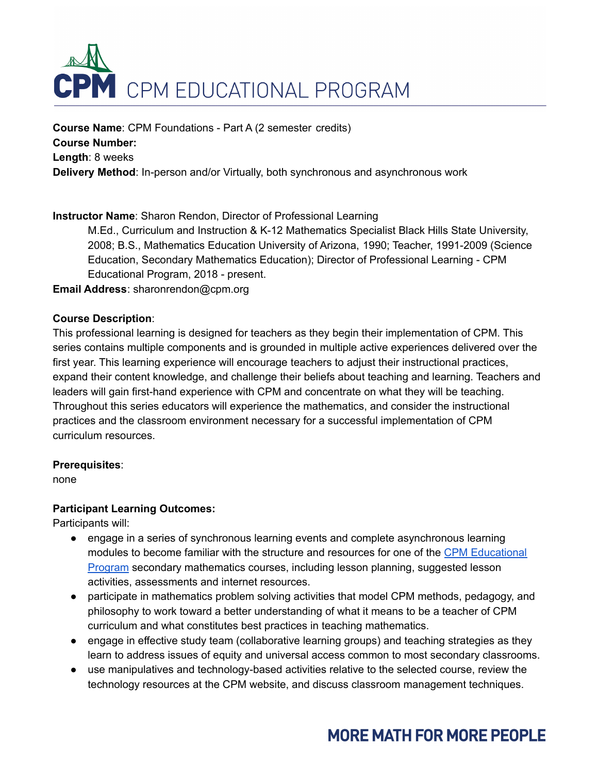

**Course Name**: CPM Foundations - Part A (2 semester credits) **Course Number: Length**: 8 weeks **Delivery Method**: In-person and/or Virtually, both synchronous and asynchronous work

## **Instructor Name**: Sharon Rendon, Director of Professional Learning

M.Ed., Curriculum and Instruction & K-12 Mathematics Specialist Black Hills State University, 2008; B.S., Mathematics Education University of Arizona, 1990; Teacher, 1991-2009 (Science Education, Secondary Mathematics Education); Director of Professional Learning - CPM Educational Program, 2018 - present.

**Email Address**: sharonrendon@cpm.org

#### **Course Description**:

This professional learning is designed for teachers as they begin their implementation of CPM. This series contains multiple components and is grounded in multiple active experiences delivered over the first year. This learning experience will encourage teachers to adjust their instructional practices, expand their content knowledge, and challenge their beliefs about teaching and learning. Teachers and leaders will gain first-hand experience with CPM and concentrate on what they will be teaching. Throughout this series educators will experience the mathematics, and consider the instructional practices and the classroom environment necessary for a successful implementation of CPM curriculum resources.

### **Prerequisites**:

none

### **Participant Learning Outcomes:**

Participants will:

- engage in a series of synchronous learning events and complete asynchronous learning modules to become familiar with the structure and resources for one of the CPM [Educational](https://ebooks.cpm.org/?725740766966420526) [Program](https://ebooks.cpm.org/?725740766966420526) secondary mathematics courses, including lesson planning, suggested lesson activities, assessments and internet resources.
- participate in mathematics problem solving activities that model CPM methods, pedagogy, and philosophy to work toward a better understanding of what it means to be a teacher of CPM curriculum and what constitutes best practices in teaching mathematics.
- engage in effective study team (collaborative learning groups) and teaching strategies as they learn to address issues of equity and universal access common to most secondary classrooms.
- use manipulatives and technology-based activities relative to the selected course, review the technology resources at the CPM website, and discuss classroom management techniques.

# **MORE MATH FOR MORE PEOPLE**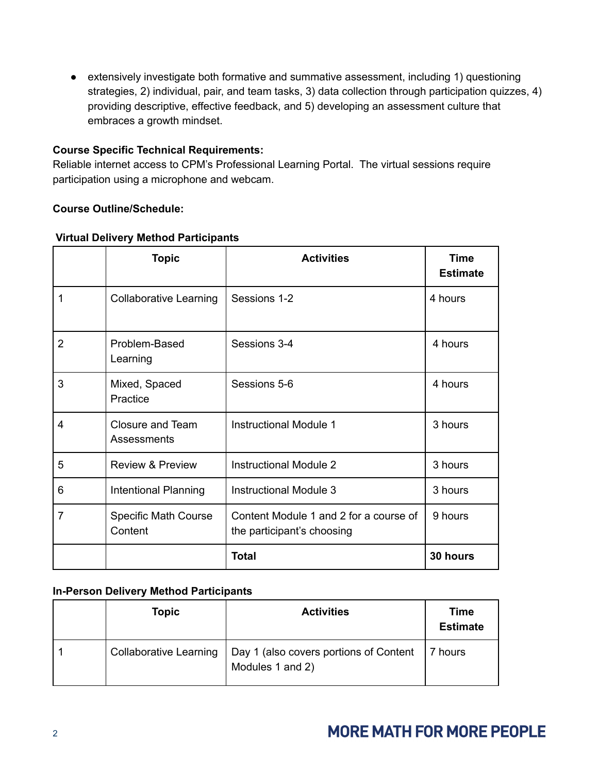● extensively investigate both formative and summative assessment, including 1) questioning strategies, 2) individual, pair, and team tasks, 3) data collection through participation quizzes, 4) providing descriptive, effective feedback, and 5) developing an assessment culture that embraces a growth mindset.

## **Course Specific Technical Requirements:**

Reliable internet access to CPM's Professional Learning Portal. The virtual sessions require participation using a microphone and webcam.

## **Course Outline/Schedule:**

|                | <b>Topic</b>                           | <b>Activities</b>                                                    | <b>Time</b><br><b>Estimate</b> |
|----------------|----------------------------------------|----------------------------------------------------------------------|--------------------------------|
|                | <b>Collaborative Learning</b>          | Sessions 1-2                                                         | 4 hours                        |
| $\overline{2}$ | Problem-Based<br>Learning              | Sessions 3-4                                                         | 4 hours                        |
| 3              | Mixed, Spaced<br>Practice              | Sessions 5-6                                                         | 4 hours                        |
| $\overline{4}$ | <b>Closure and Team</b><br>Assessments | <b>Instructional Module 1</b>                                        | 3 hours                        |
| 5              | <b>Review &amp; Preview</b>            | <b>Instructional Module 2</b>                                        | 3 hours                        |
| 6              | Intentional Planning                   | <b>Instructional Module 3</b>                                        | 3 hours                        |
| 7              | <b>Specific Math Course</b><br>Content | Content Module 1 and 2 for a course of<br>the participant's choosing | 9 hours                        |
|                |                                        | <b>Total</b>                                                         | 30 hours                       |

## **Virtual Delivery Method Participants**

## **In-Person Delivery Method Participants**

| <b>Topic</b> | <b>Activities</b>                                                                   | <b>Time</b><br><b>Estimate</b> |
|--------------|-------------------------------------------------------------------------------------|--------------------------------|
|              | Collaborative Learning   Day 1 (also covers portions of Content<br>Modules 1 and 2) | 17 hours                       |

## **MORE MATH FOR MORE PEOPLE**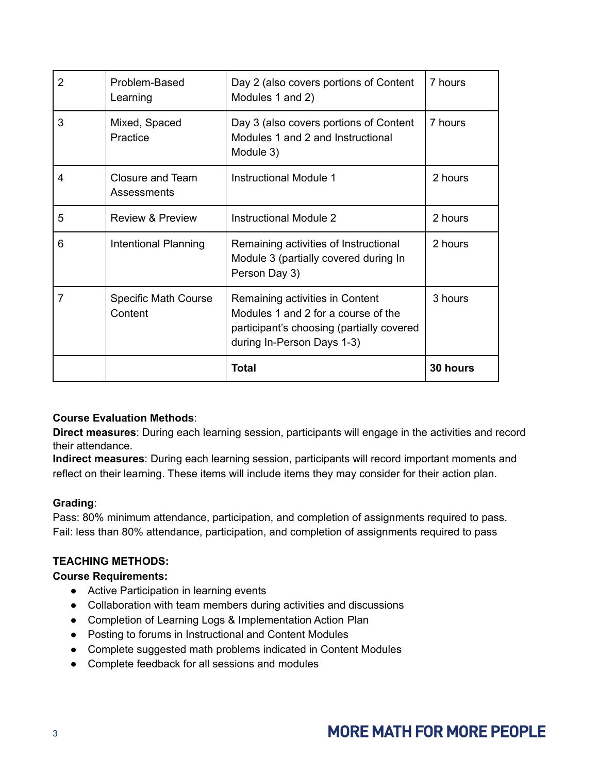| 2 | Problem-Based<br>Learning              | Day 2 (also covers portions of Content<br>Modules 1 and 2)                                                                                        | 7 hours  |
|---|----------------------------------------|---------------------------------------------------------------------------------------------------------------------------------------------------|----------|
| 3 | Mixed, Spaced<br>Practice              | Day 3 (also covers portions of Content<br>Modules 1 and 2 and Instructional<br>Module 3)                                                          | 7 hours  |
| 4 | Closure and Team<br>Assessments        | <b>Instructional Module 1</b>                                                                                                                     | 2 hours  |
| 5 | <b>Review &amp; Preview</b>            | <b>Instructional Module 2</b>                                                                                                                     | 2 hours  |
| 6 | Intentional Planning                   | Remaining activities of Instructional<br>Module 3 (partially covered during In<br>Person Day 3)                                                   | 2 hours  |
| 7 | <b>Specific Math Course</b><br>Content | Remaining activities in Content<br>Modules 1 and 2 for a course of the<br>participant's choosing (partially covered<br>during In-Person Days 1-3) | 3 hours  |
|   |                                        | Total                                                                                                                                             | 30 hours |

## **Course Evaluation Methods**:

**Direct measures**: During each learning session, participants will engage in the activities and record their attendance.

**Indirect measures**: During each learning session, participants will record important moments and reflect on their learning. These items will include items they may consider for their action plan.

## **Grading**:

Pass: 80% minimum attendance, participation, and completion of assignments required to pass. Fail: less than 80% attendance, participation, and completion of assignments required to pass

## **TEACHING METHODS:**

### **Course Requirements:**

- Active Participation in learning events
- Collaboration with team members during activities and discussions
- Completion of Learning Logs & Implementation Action Plan
- Posting to forums in Instructional and Content Modules
- Complete suggested math problems indicated in Content Modules
- Complete feedback for all sessions and modules

## **MORE MATH FOR MORE PEOPLE**